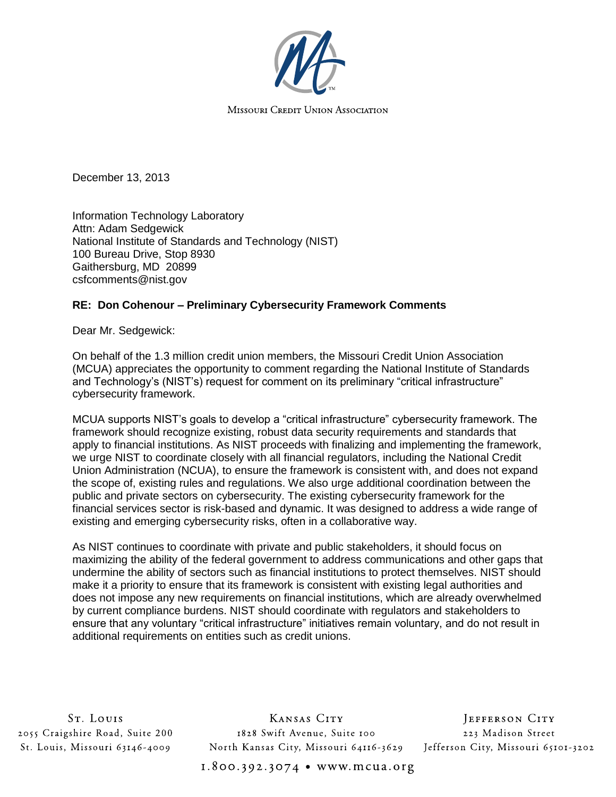

Missouri Credit Union Association

December 13, 2013

Information Technology Laboratory Attn: Adam Sedgewick National Institute of Standards and Technology (NIST) 100 Bureau Drive, Stop 8930 Gaithersburg, MD 20899 csfcomments@nist.gov

## **RE: Don Cohenour – Preliminary Cybersecurity Framework Comments**

Dear Mr. Sedgewick:

On behalf of the 1.3 million credit union members, the Missouri Credit Union Association (MCUA) appreciates the opportunity to comment regarding the National Institute of Standards and Technology's (NIST's) request for comment on its preliminary "critical infrastructure" cybersecurity framework.

MCUA supports NIST's goals to develop a "critical infrastructure" cybersecurity framework. The framework should recognize existing, robust data security requirements and standards that apply to financial institutions. As NIST proceeds with finalizing and implementing the framework, we urge NIST to coordinate closely with all financial regulators, including the National Credit Union Administration (NCUA), to ensure the framework is consistent with, and does not expand the scope of, existing rules and regulations. We also urge additional coordination between the public and private sectors on cybersecurity. The existing cybersecurity framework for the financial services sector is risk-based and dynamic. It was designed to address a wide range of existing and emerging cybersecurity risks, often in a collaborative way.

As NIST continues to coordinate with private and public stakeholders, it should focus on maximizing the ability of the federal government to address communications and other gaps that undermine the ability of sectors such as financial institutions to protect themselves. NIST should make it a priority to ensure that its framework is consistent with existing legal authorities and does not impose any new requirements on financial institutions, which are already overwhelmed by current compliance burdens. NIST should coordinate with regulators and stakeholders to ensure that any voluntary "critical infrastructure" initiatives remain voluntary, and do not result in additional requirements on entities such as credit unions.

ST. LOUIS 2055 Craigshire Road, Suite 200 St. Louis, Missouri 63146-4009

KANSAS CITY 1828 Swift Avenue, Suite 100 North Kansas City, Missouri 64116-3629 Jefferson City, Missouri 65101-3202

**LEFFERSON CITY** 223 Madison Street

1.800.392.3074 • www.mcua.org